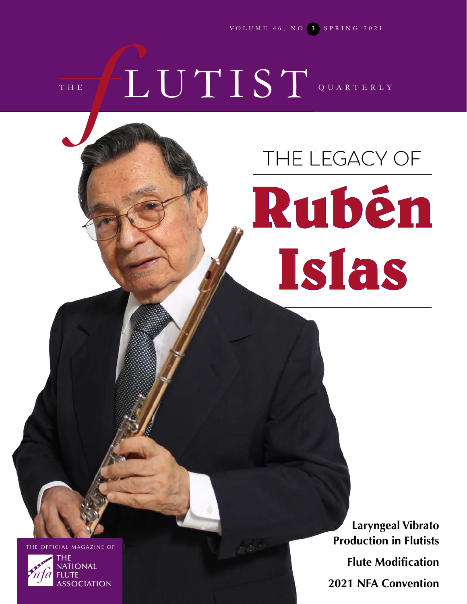VOLUME 46, NO. **3** SPRING 2021

# THE LUTIST QUARTERLY

# The Legacy of **Rubén Islas**

**Laryngeal Vibrato Production in Flutists Flute Modification 2021 NFA Convention**

THE OFFICIAL MAGAZINE OF

**TIONAL SSOCIATION**